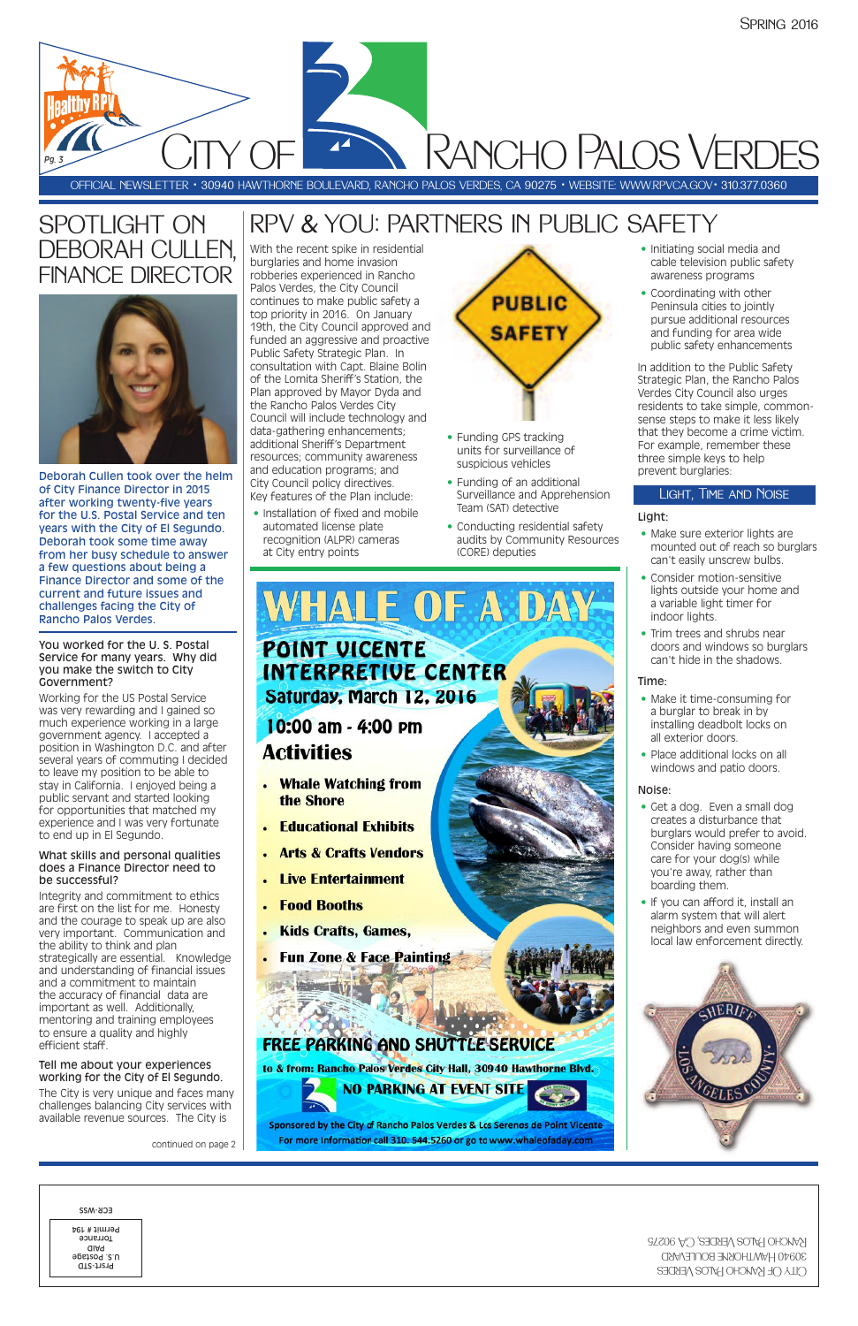With the recent spike in residential burglaries and home invasion robberies experienced in Rancho Palos Verdes, the City Council continues to make public safety a top priority in 2016. On January 19th, the City Council approved and funded an aggressive and proactive Public Safety Strategic Plan. In consultation with Capt. Blaine Bolin of the Lomita Sheriff's Station, the Plan approved by Mayor Dyda and the Rancho Palos Verdes City Council will include technology and data-gathering enhancements; additional Sheriff's Department resources; community awareness and education programs; and City Council policy directives. Key features of the Plan include:

• Installation of fixed and mobile automated license plate recognition (ALPR) cameras at City entry points

- Funding GPS tracking units for surveillance of suspicious vehicles
- Funding of an additional Surveillance and Apprehension Team (SAT) detective
- Conducting residential safety audits by Community Resources (CORE) deputies
- Make sure exterior lights are mounted out of reach so burglars can't easily unscrew bulbs.
- Consider motion-sensitive lights outside your home and a variable light timer for indoor lights.
- Trim trees and shrubs near doors and windows so burglars can't hide in the shadows.

- Make it time-consuming for a burglar to break in by installing deadbolt locks on all exterior doors.
- Place additional locks on all windows and patio doors.

• Initiating social media and cable television public safety awareness programs

• Coordinating with other Peninsula cities to jointly pursue additional resources and funding for area wide public safety enhancements

In addition to the Public Safety Strategic Plan, the Rancho Palos Verdes City Council also urges residents to take simple, commonsense steps to make it less likely that they become a crime victim. For example, remember these three simple keys to help prevent burglaries:

#### Light:

#### Time:

#### Noise:

- Get a dog. Even a small dog creates a disturbance that burglars would prefer to avoid. Consider having someone care for your dog(s) while you're away, rather than boarding them.
- If you can afford it, install an alarm system that will alert neighbors and even summon local law enforcement directly.



**WHALE OF A DAY** 

10:00 am - 4:00 pm **Activities** 

- Whale Watching from the Shore
- **Educational Exhibits**
- **Arts & Crafts Vendors**
- . Live Entertainment
- **Food Booths**
- **Kids Crafts, Games.**
- Fun Zone & Face Painting



#### Light, Time and Noise

OFFICIAL NEWSLETTER • 30940 HAWTHORNE BOULEVARD, RANCHO PALOS VERDES, CA 90275 • WEBSITE: WWW.RPVCA.GOV• 310.377.0360

*Pg. <sup>3</sup>* City of Rancho Palos Verdes

## SPOTLIGHT ON DEBORAH CULLEN, FINANCE DIRECTOR



Deborah Cullen took over the helm of City Finance Director in 2015 after working twenty-five years for the U.S. Postal Service and ten years with the City of El Segundo. Deborah took some time away from her busy schedule to answer a few questions about being a Finance Director and some of the current and future issues and challenges facing the City of Rancho Palos Verdes.

#### You worked for the U. S. Postal Service for many years. Why did you make the switch to City Government?

Working for the US Postal Service was very rewarding and I gained so much experience working in a large government agency. I accepted a position in Washington D.C. and after several years of commuting I decided to leave my position to be able to stay in California. I enjoyed being a public servant and started looking for opportunities that matched my experience and I was very fortunate to end up in El Segundo.

#### What skills and personal qualities does a Finance Director need to be successful?

Integrity and commitment to ethics are first on the list for me. Honesty and the courage to speak up are also very important. Communication and the ability to think and plan strategically are essential. Knowledge and understanding of financial issues and a commitment to maintain the accuracy of financial data are important as well. Additionally, mentoring and training employees to ensure a quality and highly efficient staff.

#### Tell me about your experiences working for the City of El Segundo.

The City is very unique and faces many challenges balancing City services with available revenue sources. The City is

continued on page 2



to & from: Rancho Palos Verdes City Hall, 30940 Hawthorne Blvd.





Sponsored by the City of Rancho Palos Verdes & Los Serenos de Point Vicente For more Information call 310. 544.5260 or go to www.whaleofaday.com



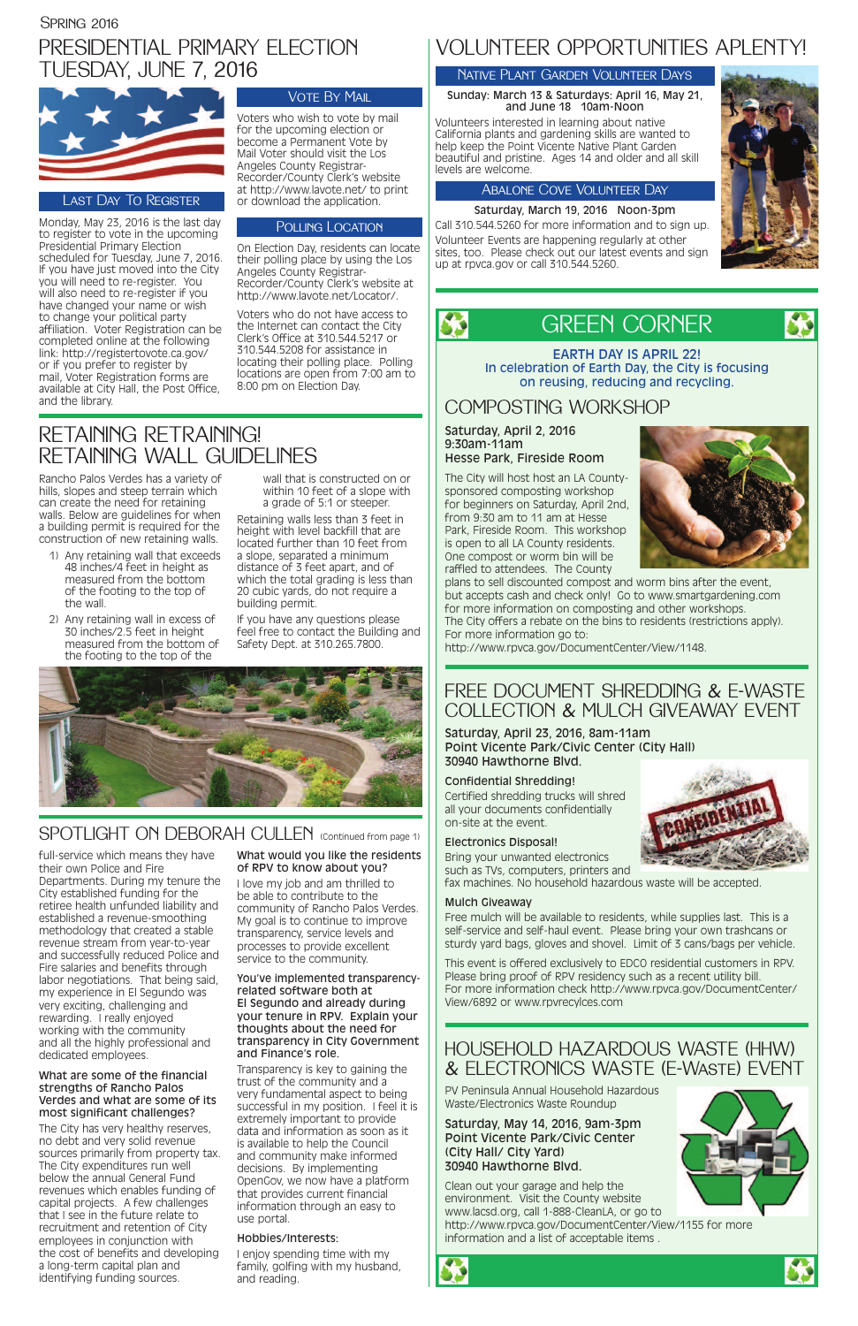### PRESIDENTIAL PRIMARY ELECTION TUESDAY, JUNE 7, 2016



Monday, May 23, 2016 is the last day to register to vote in the upcoming Presidential Primary Election scheduled for Tuesday, June 7, 2016. If you have just moved into the City you will need to re-register. You will also need to re-register if you have changed your name or wish to change your political party affiliation. Voter Registration can be completed online at the following link: http://registertovote.ca.gov/ or if you prefer to register by mail, Voter Registration forms are available at City Hall, the Post Office, and the library.

### **VOTE BY MAIL**

Voters who wish to vote by mail for the upcoming election or become a Permanent Vote by Mail Voter should visit the Los Angeles County Registrar-Recorder/County Clerk's website at http://www.lavote.net/ to print or download the application.

#### POLLING LOCATION

On Election Day, residents can locate their polling place by using the Los Angeles County Registrar-Recorder/County Clerk's website at http://www.lavote.net/Locator/.

Voters who do not have access to the Internet can contact the City Clerk's Office at 310.544.5217 or 310.544.5208 for assistance in locating their polling place. Polling locations are open from 7:00 am to 8:00 pm on Election Day.



EARTH DAY IS APRIL 22! In celebration of Earth Day, the City is focusing on reusing, reducing and recycling.

### HOUSEHOLD HAZARDOUS WASTE (HHW) & ELECTRONICS WASTE (E-Waste) EVENT

PV Peninsula Annual Household Hazardous Waste/Electronics Waste Roundup

Saturday, May 14, 2016, 9am-3pm Point Vicente Park/Civic Center (City Hall/ City Yard) 30940 Hawthorne Blvd.

Clean out your garage and help the environment. Visit the County website www.lacsd.org, call 1-888-CleanLA, or go to http://www.rpvca.gov/DocumentCenter/View/1155 for more information and a list of acceptable items .







full-service which means they have their own Police and Fire Departments. During my tenure the City established funding for the retiree health unfunded liability and established a revenue-smoothing methodology that created a stable revenue stream from year-to-year and successfully reduced Police and Fire salaries and benefits through labor negotiations. That being said, my experience in El Segundo was very exciting, challenging and rewarding. I really enjoyed working with the community and all the highly professional and dedicated employees.

#### What are some of the financial strengths of Rancho Palos Verdes and what are some of its most significant challenges?

The City has very healthy reserves, no debt and very solid revenue sources primarily from property tax. The City expenditures run well below the annual General Fund revenues which enables funding of capital projects. A few challenges that I see in the future relate to recruitment and retention of City employees in conjunction with the cost of benefits and developing a long-term capital plan and identifying funding sources.

#### What would you like the residents of RPV to know about you?

I love my job and am thrilled to be able to contribute to the community of Rancho Palos Verdes. My goal is to continue to improve transparency, service levels and processes to provide excellent service to the community.

You've implemented transparencyrelated software both at El Segundo and already during your tenure in RPV. Explain your thoughts about the need for transparency in City Government and Finance's role.

Transparency is key to gaining the trust of the community and a very fundamental aspect to being successful in my position. I feel it is extremely important to provide data and information as soon as it is available to help the Council and community make informed decisions. By implementing OpenGov, we now have a platform that provides current financial information through an easy to use portal.

#### Hobbies/Interests:

I enjoy spending time with my family, golfing with my husband, and reading.

### COMPOSTING WORKSHOP

#### Saturday, April 2, 2016 9:30am-11am Hesse Park, Fireside Room

The City will host host an LA Countysponsored composting workshop for beginners on Saturday, April 2nd, from 9:30 am to 11 am at Hesse Park, Fireside Room. This workshop is open to all LA County residents. One compost or worm bin will be raffled to attendees. The County



plans to sell discounted compost and worm bins after the event, but accepts cash and check only! Go to www.smartgardening.com for more information on composting and other workshops. The City offers a rebate on the bins to residents (restrictions apply). For more information go to:

#### http://www.rpvca.gov/DocumentCenter/View/1148.

#### Last Day To Register

### VOLUNTEER OPPORTUNITIES APLENTY!

#### Native Plant Garden Volunteer Days

#### Sunday: March 13 & Saturdays: April 16, May 21, and June 18 10am-Noon

Volunteers interested in learning about native California plants and gardening skills are wanted to help keep the Point Vicente Native Plant Garden beautiful and pristine. Ages 14 and older and all skill levels are welcome.

#### Abalone Cove Volunteer Day

Saturday, March 19, 2016 Noon-3pm Call 310.544.5260 for more information and to sign up. Volunteer Events are happening regularly at other sites, too. Please check out our latest events and sign up at rpvca.gov or call 310.544.5260.



S

Rancho Palos Verdes has a variety of hills, slopes and steep terrain which can create the need for retaining walls. Below are guidelines for when a building permit is required for the construction of new retaining walls.

- 1) Any retaining wall that exceeds 48 inches/4 feet in height as measured from the bottom of the footing to the top of the wall.
- 2) Any retaining wall in excess of 30 inches/2.5 feet in height measured from the bottom of the footing to the top of the

wall that is constructed on or within 10 feet of a slope with a grade of 5:1 or steeper.

Retaining walls less than 3 feet in height with level backfill that are located further than 10 feet from a slope, separated a minimum distance of 3 feet apart, and of which the total grading is less than 20 cubic yards, do not require a building permit.

If you have any questions please feel free to contact the Building and Safety Dept. at 310.265.7800.



### SPOTLIGHT ON DEBORAH CULLEN (Continued from page 1)

### RETAINING RETRAINING! RETAINING WALL GUIDELINES

### FREE DOCUMENT SHREDDING & E-WASTE COLLECTION & MULCH GIVEAWAY EVENT

#### Saturday, April 23, 2016, 8am-11am Point Vicente Park/Civic Center (City Hall) 30940 Hawthorne Blvd.

#### Confidential Shredding!

Certified shredding trucks will shred all your documents confidentially on-site at the event.

#### Electronics Disposal!

Bring your unwanted electronics such as TVs, computers, printers and

fax machines. No household hazardous waste will be accepted.

#### Mulch Giveaway

Free mulch will be available to residents, while supplies last. This is a self-service and self-haul event. Please bring your own trashcans or sturdy yard bags, gloves and shovel. Limit of 3 cans/bags per vehicle.

This event is offered exclusively to EDCO residential customers in RPV. Please bring proof of RPV residency such as a recent utility bill. For more information check http://www.rpvca.gov/DocumentCenter/ View/6892 or www.rpvrecylces.com

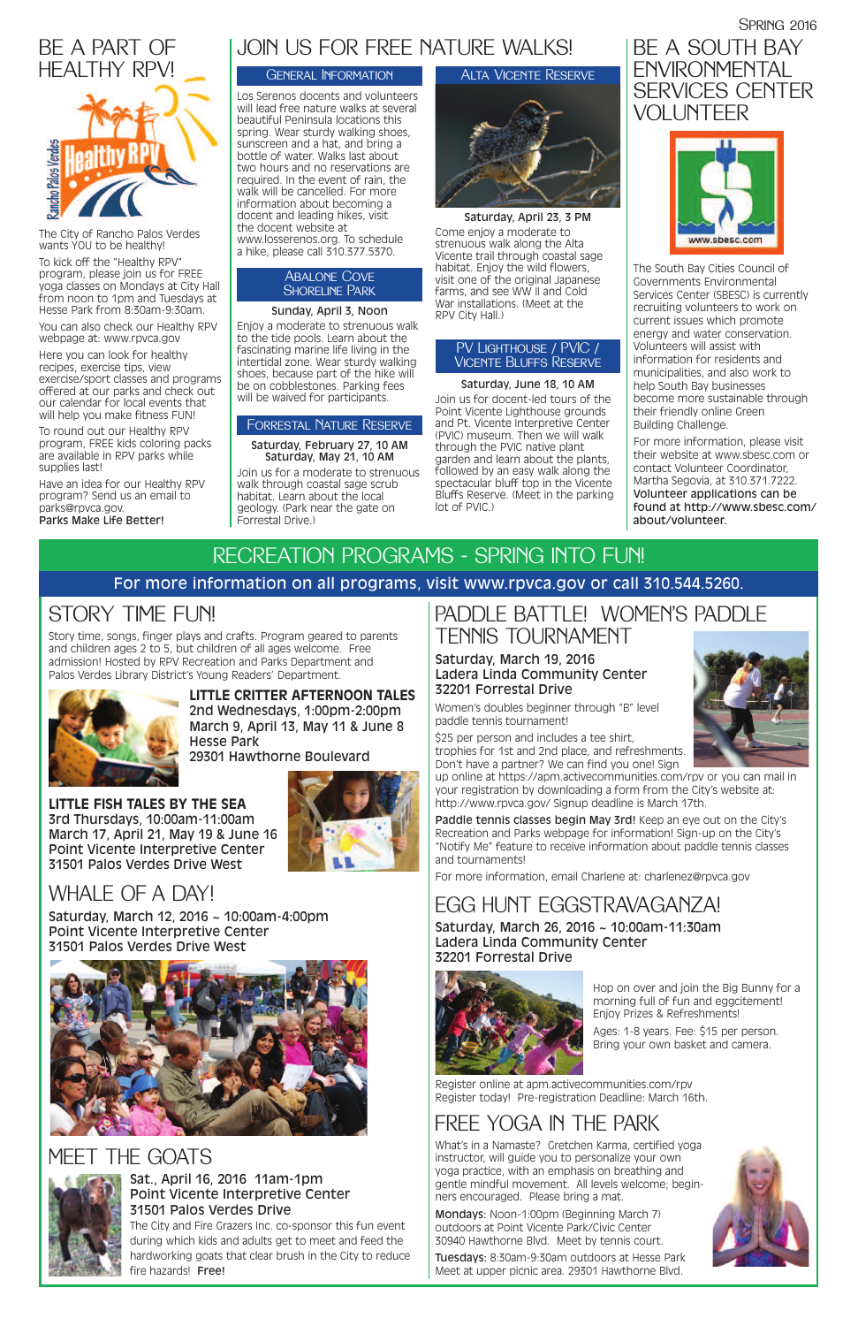# STORY TIME FUN!

Story time, songs, finger plays and crafts. Program geared to parents and children ages 2 to 5, but children of all ages welcome. Free admission! Hosted by RPV Recreation and Parks Department and Palos Verdes Library District's Young Readers' Department.



### **LITTLE CRITTER AFTERNOON TALES**

2nd Wednesdays, 1:00pm-2:00pm March 9, April 13, May 11 & June 8 Hesse Park

29301 Hawthorne Boulevard

Saturday, March 12, 2016 ~ 10:00am-4:00pm Point Vicente Interpretive Center 31501 Palos Verdes Drive West



### PADDLE BATTLE! WOMEN'S PADDLE TENNIS TOURNAMENT

#### Saturday, March 19, 2016 Ladera Linda Community Center 32201 Forrestal Drive

Paddle tennis classes begin May 3rd! Keep an eye out on the City's Recreation and Parks webpage for information! Sign-up on the City's "Notify Me" feature to receive information about paddle tennis classes and tournaments!

Women's doubles beginner through "B" level paddle tennis tournament!

\$25 per person and includes a tee shirt, trophies for 1st and 2nd place, and refreshments. Don't have a partner? We can find you one! Sign

up online at https://apm.activecommunities.com/rpv or you can mail in your registration by downloading a form from the City's website at: http://www.rpvca.gov/ Signup deadline is March 17th.

For more information, email Charlene at: charlenez@rpvca.gov

## FREE YOGA IN THE PARK

What's in a Namaste? Gretchen Karma, certified yoga instructor, will guide you to personalize your own yoga practice, with an emphasis on breathing and gentle mindful movement. All levels welcome; beginners encouraged. Please bring a mat.

Mondays: Noon-1:00pm (Beginning March 7) outdoors at Point Vicente Park/Civic Center 30940 Hawthorne Blvd. Meet by tennis court.

Tuesdays: 8:30am-9:30am outdoors at Hesse Park Meet at upper picnic area. 29301 Hawthorne Blvd.



# EGG HUNT EGGSTRAVAGANZA!

Saturday, March 26, 2016 ~ 10:00am-11:30am Ladera Linda Community Center 32201 Forrestal Drive



### **LITTLE FISH TALES BY THE SEA** 3rd Thursdays, 10:00am-11:00am

March 17, April 21, May 19 & June 16 Point Vicente Interpretive Center 31501 Palos Verdes Drive West

# WHAI F OF A DAY!

### SPRING 2016 BE A SOUTH BAY **ENVIRONMENTAL** SERVICES CENTER VOLUNTEER



# RECREATION PROGRAMS - SPRING INTO FUN! For more information on all programs, visit www.rpvca.gov or call 310.544.5260.

### MEET THE GOATS



#### Sat., April 16, 2016 11am-1pm Point Vicente Interpretive Center 31501 Palos Verdes Drive

The City and Fire Grazers Inc. co-sponsor this fun event during which kids and adults get to meet and feed the hardworking goats that clear brush in the City to reduce fire hazards! Free!



Register online at apm.activecommunities.com/rpv Register today! Pre-registration Deadline: March 16th.

Hop on over and join the Big Bunny for a morning full of fun and eggcitement! Enjoy Prizes & Refreshments!

#### Abalone Cove **SHORELINE PARK**

Ages: 1-8 years. Fee: \$15 per person. Bring your own basket and camera.

The City of Rancho Palos Verdes wants YOU to be healthy!

To kick off the "Healthy RPV" program, please join us for FREE yoga classes on Mondays at City Hall from noon to 1pm and Tuesdays at Hesse Park from 8:30am-9:30am.

You can also check our Healthy RPV webpage at: www.rpvca.gov

Here you can look for healthy recipes, exercise tips, view exercise/sport classes and programs offered at our parks and check out our calendar for local events that will help you make fitness FUN!

To round out our Healthy RPV program, FREE kids coloring packs are available in RPV parks while supplies last!

Have an idea for our Healthy RPV program? Send us an email to parks@rpvca.gov. Parks Make Life Better!



The South Bay Cities Council of Governments Environmental Services Center (SBESC) is currently recruiting volunteers to work on current issues which promote energy and water conservation. Volunteers will assist with information for residents and municipalities, and also work to help South Bay businesses become more sustainable through their friendly online Green Building Challenge.

For more information, please visit their website at www.sbesc.com or contact Volunteer Coordinator, Martha Segovia, at 310.371.7222. Volunteer applications can be found at http://www.sbesc.com/ about/volunteer.

# JOIN US FOR FREE NATURE WALKS!

Los Serenos docents and volunteers will lead free nature walks at several beautiful Peninsula locations this spring. Wear sturdy walking shoes, sunscreen and a hat, and bring a bottle of water. Walks last about two hours and no reservations are required. In the event of rain, the walk will be cancelled. For more information about becoming a docent and leading hikes, visit the docent website at www.losserenos.org. To schedule a hike, please call 310.377.5370.

#### Sunday, April 3, Noon

Enjoy a moderate to strenuous walk to the tide pools. Learn about the fascinating marine life living in the intertidal zone. Wear sturdy walking shoes, because part of the hike will be on cobblestones. Parking fees will be waived for participants.

#### Saturday, February 27, 10 AM Saturday, May 21, 10 AM

Join us for a moderate to strenuous walk through coastal sage scrub habitat. Learn about the local geology. (Park near the gate on Forrestal Drive.)

Saturday, April 23, 3 PM Come enjoy a moderate to strenuous walk along the Alta Vicente trail through coastal sage habitat. Enjoy the wild flowers, visit one of the original Japanese farms, and see WW II and Cold War installations. (Meet at the RPV City Hall.)

#### General Information

#### Forrestal Nature Reserve

#### Alta Vicente Reserve



#### PV Lighthouse / PVIC / Vicente Bluffs Reserve

#### Saturday, June 18, 10 AM

Join us for docent-led tours of the Point Vicente Lighthouse grounds and Pt. Vicente Interpretive Center (PVIC) museum. Then we will walk through the PVIC native plant garden and learn about the plants, followed by an easy walk along the spectacular bluff top in the Vicente Bluffs Reserve. (Meet in the parking lot of PVIC.)